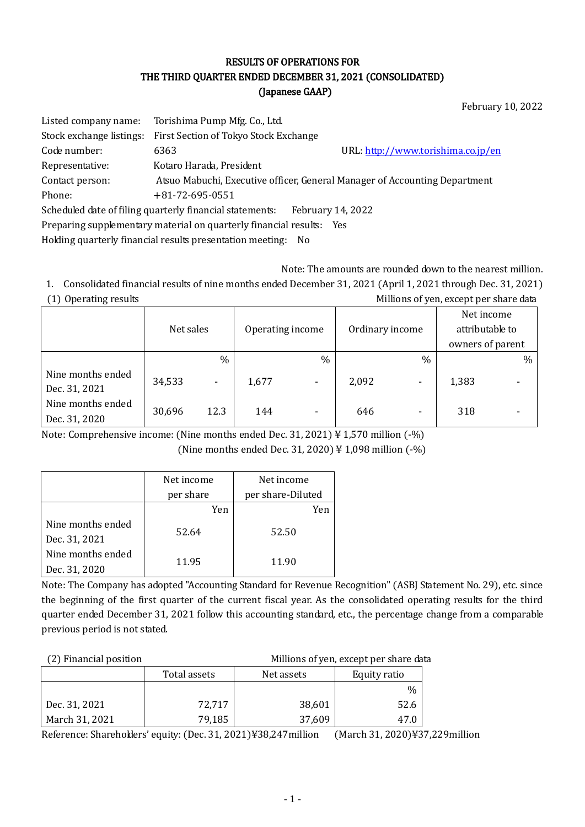## RESULTS OF OPERATIONS FOR THE THIRD QUARTER ENDED DECEMBER 31, 2021 (CONSOLIDATED) (Japanese GAAP)

February 10, 2022

| Listed company name:                                                          | Torishima Pump Mfg. Co., Ltd.                                        |                                                                            |  |  |  |
|-------------------------------------------------------------------------------|----------------------------------------------------------------------|----------------------------------------------------------------------------|--|--|--|
| Stock exchange listings:                                                      | First Section of Tokyo Stock Exchange                                |                                                                            |  |  |  |
| Code number:                                                                  | 6363                                                                 | URL: http://www.torishima.co.jp/en                                         |  |  |  |
| Representative:                                                               | Kotaro Harada, President                                             |                                                                            |  |  |  |
| Contact person:                                                               |                                                                      | Atsuo Mabuchi, Executive officer, General Manager of Accounting Department |  |  |  |
| Phone:                                                                        | $+81 - 72 - 695 - 0551$                                              |                                                                            |  |  |  |
| Scheduled date of filing quarterly financial statements:<br>February 14, 2022 |                                                                      |                                                                            |  |  |  |
|                                                                               | Preparing supplementary material on quarterly financial results: Yes |                                                                            |  |  |  |

Holding quarterly financial results presentation meeting: No

Note: The amounts are rounded down to the nearest million.

47.0

1. Consolidated financial results of nine months ended December 31, 2021 (April 1, 2021 through Dec. 31, 2021) (1) Operating results Millions of yen, except per share data

|                                    |           |                |                  |                          |                 |      | Net income       |      |
|------------------------------------|-----------|----------------|------------------|--------------------------|-----------------|------|------------------|------|
|                                    | Net sales |                | Operating income |                          | Ordinary income |      | attributable to  |      |
|                                    |           |                |                  |                          |                 |      | owners of parent |      |
|                                    |           | $\%$           |                  | $\frac{0}{0}$            |                 | $\%$ |                  | $\%$ |
| Nine months ended<br>Dec. 31, 2021 | 34,533    | $\blacksquare$ | 1,677            | $\overline{\phantom{a}}$ | 2,092           | -    | 1,383            |      |
| Nine months ended<br>Dec. 31, 2020 | 30,696    | 12.3           | 144              |                          | 646             | -    | 318              |      |

Note: Comprehensive income: (Nine months ended Dec. 31, 2021) ¥ 1,570 million (-%) (Nine months ended Dec. 31, 2020) ¥ 1,098 million (-%)

|                                    | Net income | Net income        |  |
|------------------------------------|------------|-------------------|--|
|                                    | per share  | per share-Diluted |  |
|                                    | Yen        | Yen               |  |
| Nine months ended<br>Dec. 31, 2021 | 52.64      | 52.50             |  |
| Nine months ended<br>Dec. 31, 2020 | 11.95      | 11.90             |  |

March 31, 2021

Note: The Company has adopted "Accounting Standard for Revenue Recognition" (ASBJ Statement No. 29), etc. since the beginning of the first quarter of the current fiscal year. As the consolidated operating results for the third quarter ended December 31, 2021 follow this accounting standard, etc., the percentage change from a comparable previous period is not stated.

| (2) Financial position |              | Millions of yen, except per share data |              |  |  |  |
|------------------------|--------------|----------------------------------------|--------------|--|--|--|
|                        | Total assets | Net assets                             | Equity ratio |  |  |  |
|                        |              |                                        | $\%$         |  |  |  |
| Dec. 31, 2021          | 72.717       | 38,601                                 | 52.6         |  |  |  |

79,185

Reference: Shareholders' equity: (Dec. 31, 2021)¥38,247million (March 31, 2020)¥37,229million

37,609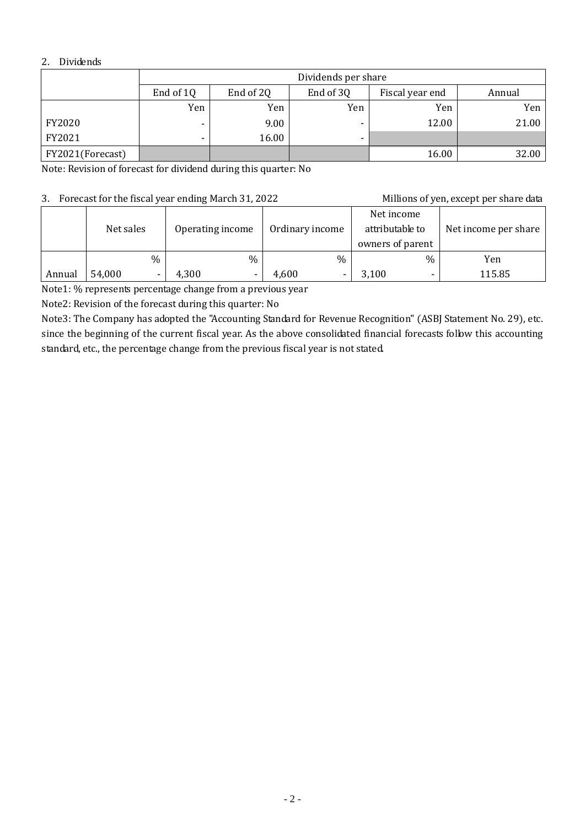## 2. Dividends

|                  | Dividends per share      |                                                     |                          |       |       |  |  |  |
|------------------|--------------------------|-----------------------------------------------------|--------------------------|-------|-------|--|--|--|
|                  | End of 1Q                | End of 20<br>End of 3Q<br>Fiscal year end<br>Annual |                          |       |       |  |  |  |
|                  | Yen                      | Yen                                                 | Yen                      | Yen   | Yen   |  |  |  |
| FY2020           | $\overline{\phantom{a}}$ | 9.00                                                |                          | 12.00 | 21.00 |  |  |  |
| FY2021           |                          | 16.00                                               | $\overline{\phantom{0}}$ |       |       |  |  |  |
| FY2021(Forecast) |                          |                                                     |                          | 16.00 | 32.00 |  |  |  |

Note: Revision of forecast for dividend during this quarter: No

## 3. Forecast for the fiscal year ending March 31, 2022 Millions of yen, except per share data

|        |                               |      | 3. TUICCast IOI THE HSCar year Chuing March 91, 2022 |                                                   | Millions of you, categoriers share data |        |
|--------|-------------------------------|------|------------------------------------------------------|---------------------------------------------------|-----------------------------------------|--------|
|        | Net sales<br>Operating income |      | Ordinary income                                      | Net income<br>attributable to<br>owners of parent | Net income per share                    |        |
|        |                               | $\%$ | $\frac{0}{0}$                                        | $\%$                                              | $\%$                                    | Yen    |
| Annual | 54,000                        |      | 4,300                                                | 4,600                                             | 3,100<br>$\overline{\phantom{0}}$       | 115.85 |

Note1: % represents percentage change from a previous year

Note2: Revision of the forecast during this quarter: No

Note3: The Company has adopted the "Accounting Standard for Revenue Recognition" (ASBJ Statement No. 29), etc. since the beginning of the current fiscal year. As the above consolidated financial forecasts follow this accounting standard, etc., the percentage change from the previous fiscal year is not stated.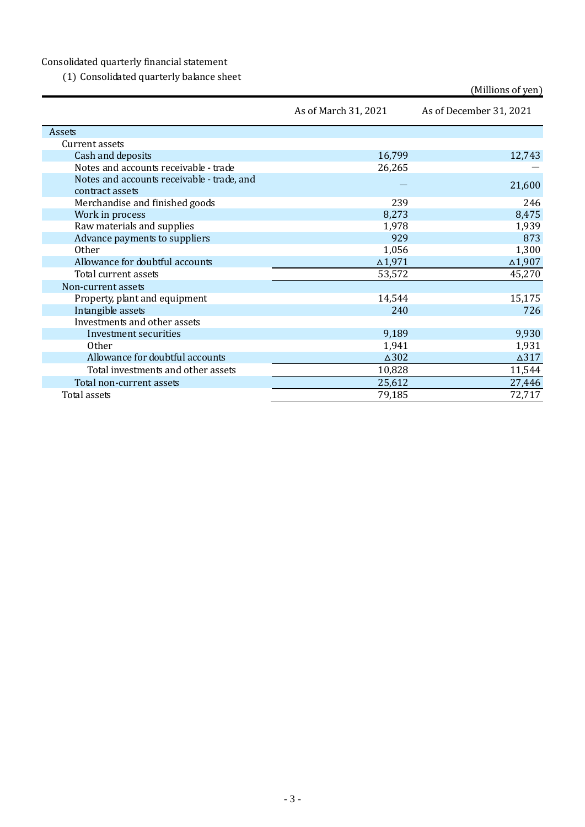## Consolidated quarterly financial statement

(1) Consolidated quarterly balance sheet

|                                            |                      | (Millions of yen)       |
|--------------------------------------------|----------------------|-------------------------|
|                                            | As of March 31, 2021 | As of December 31, 2021 |
| Assets                                     |                      |                         |
| Current assets                             |                      |                         |
| Cash and deposits                          | 16,799               | 12,743                  |
| Notes and accounts receivable - trade      | 26,265               |                         |
| Notes and accounts receivable - trade, and |                      | 21,600                  |
| contract assets                            |                      |                         |
| Merchandise and finished goods             | 239                  | 246                     |
| Work in process                            | 8,273                | 8,475                   |
| Raw materials and supplies                 | 1,978                | 1,939                   |
| Advance payments to suppliers              | 929                  | 873                     |
| Other                                      | 1,056                | 1,300                   |
| Allowance for doubtful accounts            | $\Delta$ 1,971       | $\Delta 1,907$          |
| Total current assets                       | 53,572               | 45,270                  |
| Non-current assets                         |                      |                         |
| Property, plant and equipment              | 14,544               | 15,175                  |
| Intangible assets                          | 240                  | 726                     |
| Investments and other assets               |                      |                         |
| Investment securities                      | 9,189                | 9,930                   |
| <b>Other</b>                               | 1,941                | 1,931                   |
| Allowance for doubtful accounts            | $\Delta 302$         | $\Delta 317$            |
| Total investments and other assets         | 10,828               | 11,544                  |
| Total non-current assets                   | 25,612               | 27,446                  |
| Total assets                               | 79,185               | 72,717                  |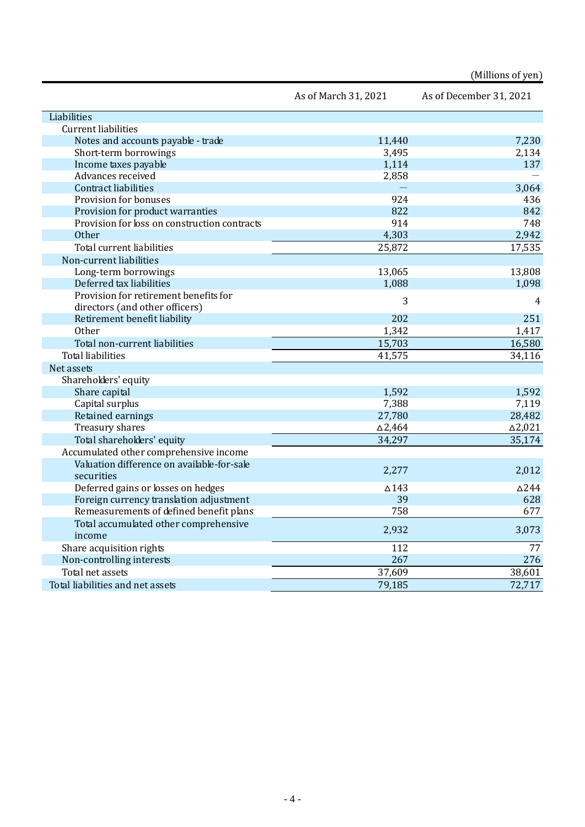|                                              |                      | (Millions of yen)       |
|----------------------------------------------|----------------------|-------------------------|
|                                              | As of March 31, 2021 | As of December 31, 2021 |
| Liabilities                                  |                      |                         |
| <b>Current liabilities</b>                   |                      |                         |
| Notes and accounts payable - trade           | 11,440               | 7,230                   |
| Short-term borrowings                        | 3,495                | 2,134                   |
| Income taxes payable                         | 1,114                | 137                     |
| Advances received                            | 2,858                |                         |
| <b>Contract liabilities</b>                  |                      | 3,064                   |
| Provision for bonuses                        | 924                  | 436                     |
| Provision for product warranties             | 822                  | 842                     |
| Provision for loss on construction contracts | 914                  | 748                     |
| <b>Other</b>                                 | 4,303                | 2,942                   |
| Total current liabilities                    | 25,872               | 17,535                  |
| Non-current liabilities                      |                      |                         |
| Long-term borrowings                         | 13,065               | 13,808                  |
| Deferred tax liabilities                     | 1,088                | 1,098                   |
| Provision for retirement benefits for        | 3                    |                         |
| directors (and other officers)               |                      | 4                       |
| Retirement benefit liability                 | 202                  | 251                     |
| Other                                        | 1,342                | 1,417                   |
| Total non-current liabilities                | 15,703               | 16,580                  |
| <b>Total liabilities</b>                     | 41,575               | 34,116                  |
| Net assets                                   |                      |                         |
| Shareholders' equity                         |                      |                         |
| Share capital                                | 1,592                | 1,592                   |
| Capital surplus                              | 7,388                | 7,119                   |
| Retained earnings                            | 27,780               | 28,482                  |
| Treasury shares                              | $\Delta$ 2,464       | $\Delta$ 2,021          |
| Total shareholders' equity                   | 34,297               | 35,174                  |
| Accumulated other comprehensive income       |                      |                         |
| Valuation difference on available-for-sale   |                      |                         |
| securities                                   | 2,277                | 2,012                   |
| Deferred gains or losses on hedges           | $\triangle$ 143      | $\Delta 244$            |
| Foreign currency translation adjustment      | 39                   | 628                     |
| Remeasurements of defined benefit plans      | 758                  | 677                     |
| Total accumulated other comprehensive        | 2,932                | 3,073                   |
| income                                       |                      |                         |
| Share acquisition rights                     | 112                  | 77                      |
| Non-controlling interests                    | 267                  | 276                     |
| Total net assets                             | 37,609               | 38,601                  |
| Total liabilities and net assets             | 79,185               | 72,717                  |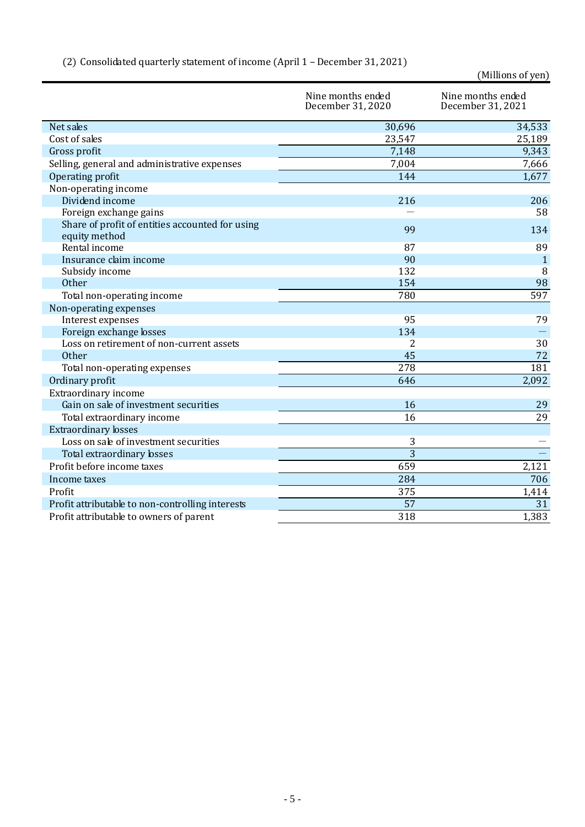|                                                                  |                                        | (Millions of yen)                      |
|------------------------------------------------------------------|----------------------------------------|----------------------------------------|
|                                                                  | Nine months ended<br>December 31, 2020 | Nine months ended<br>December 31, 2021 |
| Net sales                                                        | 30,696                                 | 34,533                                 |
| Cost of sales                                                    | 23,547                                 | 25,189                                 |
| Gross profit                                                     | 7,148                                  | 9,343                                  |
| Selling, general and administrative expenses                     | 7,004                                  | 7,666                                  |
| Operating profit                                                 | 144                                    | 1,677                                  |
| Non-operating income                                             |                                        |                                        |
| Dividend income                                                  | 216                                    | 206                                    |
| Foreign exchange gains                                           |                                        | 58                                     |
| Share of profit of entities accounted for using<br>equity method | 99                                     | 134                                    |
| Rental income                                                    | 87                                     | 89                                     |
| Insurance claim income                                           | 90                                     | $\mathbf{1}$                           |
| Subsidy income                                                   | 132                                    | 8                                      |
| <b>Other</b>                                                     | 154                                    | 98                                     |
| Total non-operating income                                       | 780                                    | 597                                    |
| Non-operating expenses                                           |                                        |                                        |
| Interest expenses                                                | 95                                     | 79                                     |
| Foreign exchange losses                                          | 134                                    |                                        |
| Loss on retirement of non-current assets                         | 2                                      | 30                                     |
| Other                                                            | 45                                     | 72                                     |
| Total non-operating expenses                                     | 278                                    | 181                                    |
| Ordinary profit                                                  | 646                                    | 2,092                                  |
| Extraordinary income                                             |                                        |                                        |
| Gain on sale of investment securities                            | 16                                     | 29                                     |
| Total extraordinary income                                       | 16                                     | 29                                     |
| <b>Extraordinary losses</b>                                      |                                        |                                        |
| Loss on sale of investment securities                            | 3                                      |                                        |
| Total extraordinary losses                                       | 3                                      |                                        |
| Profit before income taxes                                       | 659                                    | 2,121                                  |
| Income taxes                                                     | 284                                    | 706                                    |
| Profit                                                           | 375                                    | 1,414                                  |
| Profit attributable to non-controlling interests                 | 57                                     | 31                                     |
| Profit attributable to owners of parent                          | 318                                    | 1,383                                  |
|                                                                  |                                        |                                        |

# (2) Consolidated quarterly statement of income (April 1 – December 31, 2021)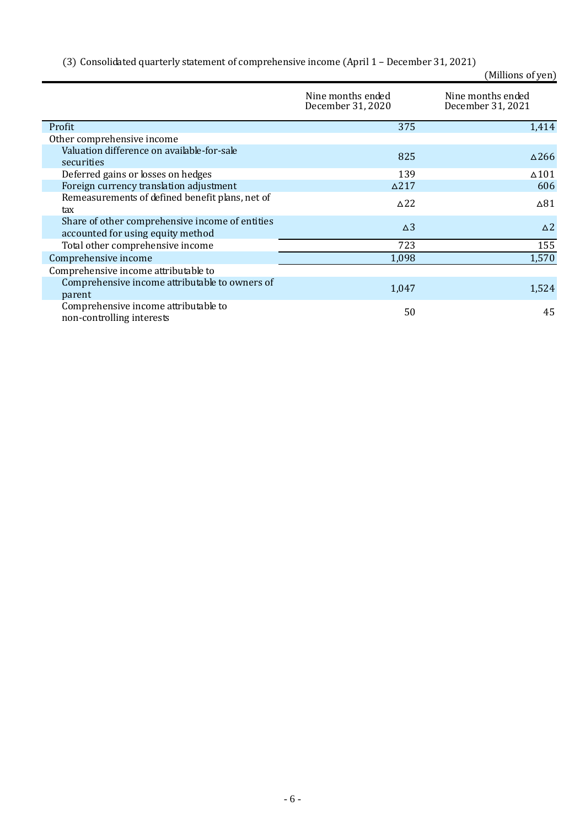|  |  |  |  |  |  |  | (3) Consolidated quarterly statement of comprehensive income (April 1 - December 31, 2021) |
|--|--|--|--|--|--|--|--------------------------------------------------------------------------------------------|
|--|--|--|--|--|--|--|--------------------------------------------------------------------------------------------|

| (Millions of yen) |  |
|-------------------|--|
|                   |  |

|                                                                                      | Nine months ended<br>December 31, 2020 | Nine months ended<br>December 31, 2021 |
|--------------------------------------------------------------------------------------|----------------------------------------|----------------------------------------|
| Profit                                                                               | 375                                    | 1,414                                  |
| Other comprehensive income                                                           |                                        |                                        |
| Valuation difference on available-for-sale<br>securities                             | 825                                    | $\Delta$ 266                           |
| Deferred gains or losses on hedges                                                   | 139                                    | $\Delta$ 101                           |
| Foreign currency translation adjustment                                              | $\Delta$ 217                           | 606                                    |
| Remeasurements of defined benefit plans, net of<br>tax                               | $\triangle$ 22                         | $\Delta$ 81                            |
| Share of other comprehensive income of entities<br>accounted for using equity method | $\Delta$ 3                             | $\Delta$ 2                             |
| Total other comprehensive income                                                     | 723                                    | 155                                    |
| Comprehensive income                                                                 | 1,098                                  | 1,570                                  |
| Comprehensive income attributable to                                                 |                                        |                                        |
| Comprehensive income attributable to owners of<br>parent                             | 1,047                                  | 1,524                                  |
| Comprehensive income attributable to<br>non-controlling interests                    | 50                                     | 45                                     |